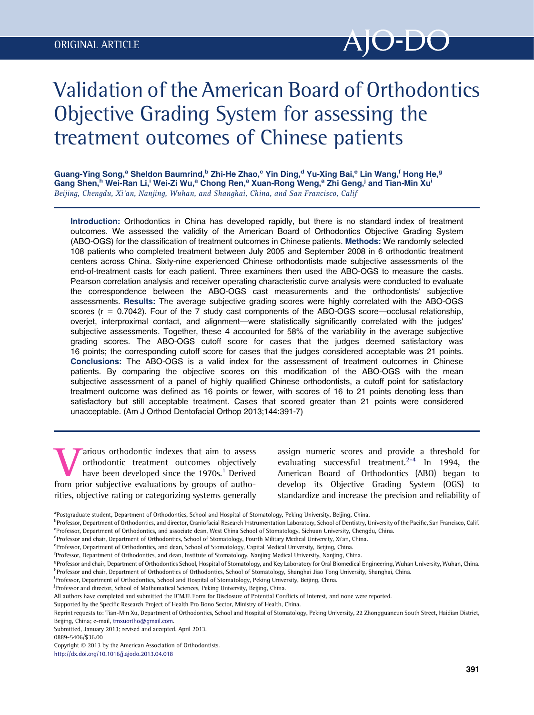

# Validation of the American Board of Orthodontics Objective Grading System for assessing the treatment outcomes of Chinese patients

Guang-Ying Song,<sup>a</sup> Sheldon Baumrind,<sup>b</sup> Zhi-He Zhao,<sup>c</sup> Yin Ding,<sup>d</sup> Yu-Xing Bai,<sup>e</sup> Lin Wang,<sup>f</sup> Hong He,<sup>g</sup> Gang Shen,<sup>h</sup> Wei-Ran Li,<sup>i</sup> Wei-Zi Wu,<sup>a</sup> Chong Ren,<sup>a</sup> Xuan-Rong Weng,<sup>a</sup> Zhi Geng,<sup>i</sup> and Tian-Min Xu<sup>i</sup> Beijing, Chengdu, Xi'an, Nanjing, Wuhan, and Shanghai, China, and San Francisco, Calif

Introduction: Orthodontics in China has developed rapidly, but there is no standard index of treatment outcomes. We assessed the validity of the American Board of Orthodontics Objective Grading System (ABO-OGS) for the classification of treatment outcomes in Chinese patients. Methods: We randomly selected 108 patients who completed treatment between July 2005 and September 2008 in 6 orthodontic treatment centers across China. Sixty-nine experienced Chinese orthodontists made subjective assessments of the end-of-treatment casts for each patient. Three examiners then used the ABO-OGS to measure the casts. Pearson correlation analysis and receiver operating characteristic curve analysis were conducted to evaluate the correspondence between the ABO-OGS cast measurements and the orthodontists' subjective assessments. Results: The average subjective grading scores were highly correlated with the ABO-OGS scores ( $r = 0.7042$ ). Four of the 7 study cast components of the ABO-OGS score—occlusal relationship, overjet, interproximal contact, and alignment—were statistically significantly correlated with the judges' subjective assessments. Together, these 4 accounted for 58% of the variability in the average subjective grading scores. The ABO-OGS cutoff score for cases that the judges deemed satisfactory was 16 points; the corresponding cutoff score for cases that the judges considered acceptable was 21 points. Conclusions: The ABO-OGS is a valid index for the assessment of treatment outcomes in Chinese patients. By comparing the objective scores on this modification of the ABO-OGS with the mean subjective assessment of a panel of highly qualified Chinese orthodontists, a cutoff point for satisfactory treatment outcome was defined as 16 points or fewer, with scores of 16 to 21 points denoting less than satisfactory but still acceptable treatment. Cases that scored greater than 21 points were considered unacceptable. (Am J Orthod Dentofacial Orthop 2013;144:391-7)

The Various orthodontic indexes that aim to assess<br>orthodontic treatment outcomes objectively<br>have been developed since the 1970s.<sup>1</sup> Derived<br>from prior subjective evaluations by groups of authoorthodontic treatment outcomes objectively have been developed since the 1970s.<sup>1</sup> Derived from prior subjective evaluations by groups of authorities, objective rating or categorizing systems generally

assign numeric scores and provide a threshold for evaluating successful treatment.<sup>[2-4](#page-6-0)</sup> ln 1994, the American Board of Orthodontics (ABO) began to develop its Objective Grading System (OGS) to standardize and increase the precision and reliability of

a Postgraduate student, Department of Orthodontics, School and Hospital of Stomatology, Peking University, Beijing, China.

b<br>Professor, Department of Orthodontics, and director, Craniofacial Research Instrumentation Laboratory, School of Dentistry, University of the Pacific, San Francisco, Calif. c Professor, Department of Orthodontics, and associate dean, West China School of Stomatology, Sichuan University, Chengdu, China.

<sup>&</sup>lt;sup>d</sup>Professor and chair, Department of Orthodontics, School of Stomatology, Fourth Military Medical University, Xi'an, China.

<sup>&</sup>lt;sup>e</sup>Professor, Department of Orthodontics, and dean, School of Stomatology, Capital Medical University, Beijing, China.

f Professor, Department of Orthodontics, and dean, Institute of Stomatology, Nanjing Medical University, Nanjing, China.

<sup>&</sup>lt;sup>g</sup>Professor and chair, Department of Orthodontics School, Hospital of Stomatology, and Key Laboratory for Oral Biomedical Engineering, Wuhan University, Wuhan, China. <sup>h</sup>Professor and chair, Department of Orthodontics of Orthodontics, School of Stomatology, Shanghai Jiao Tong University, Shanghai, China.

i Professor, Department of Orthodontics, School and Hospital of Stomatology, Peking University, Beijing, China.

<sup>&</sup>lt;sup>j</sup>Professor and director, School of Mathematical Sciences, Peking University, Beijing, China.

All authors have completed and submitted the ICMJE Form for Disclosure of Potential Conflicts of Interest, and none were reported.

Supported by the Specific Research Project of Health Pro Bono Sector, Ministry of Health, China.

Reprint requests to: Tian-Min Xu, Department of Orthodontics, School and Hospital of Stomatology, Peking University, 22 Zhongguancun South Street, Haidian District, Beijing, China; e-mail, [tmxuortho@gmail.com.](mailto:tmxuortho@gmail.com)

Submitted, January 2013; revised and accepted, April 2013.

<sup>0889-5406/\$36.00</sup>

Copyright  $©$  2013 by the American Association of Orthodontists.

<http://dx.doi.org/10.1016/j.ajodo.2013.04.018>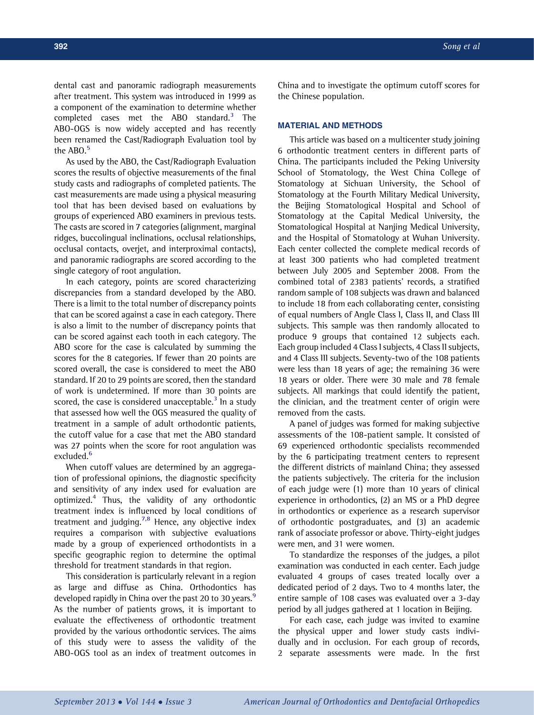dental cast and panoramic radiograph measurements after treatment. This system was introduced in 1999 as a component of the examination to determine whether completed cases met the ABO standard.[3](#page-6-0) The ABO-OGS is now widely accepted and has recently been renamed the Cast/Radiograph Evaluation tool by the ABO.<sup>[5](#page-6-0)</sup>

As used by the ABO, the Cast/Radiograph Evaluation scores the results of objective measurements of the final study casts and radiographs of completed patients. The cast measurements are made using a physical measuring tool that has been devised based on evaluations by groups of experienced ABO examiners in previous tests. The casts are scored in 7 categories (alignment, marginal ridges, buccolingual inclinations, occlusal relationships, occlusal contacts, overjet, and interproximal contacts), and panoramic radiographs are scored according to the single category of root angulation.

In each category, points are scored characterizing discrepancies from a standard developed by the ABO. There is a limit to the total number of discrepancy points that can be scored against a case in each category. There is also a limit to the number of discrepancy points that can be scored against each tooth in each category. The ABO score for the case is calculated by summing the scores for the 8 categories. If fewer than 20 points are scored overall, the case is considered to meet the ABO standard. If 20 to 29 points are scored, then the standard of work is undetermined. If more than 30 points are scored, the case is considered unacceptable. $3$  In a study that assessed how well the OGS measured the quality of treatment in a sample of adult orthodontic patients, the cutoff value for a case that met the ABO standard was 27 points when the score for root angulation was excluded.<sup>[6](#page-6-0)</sup>

When cutoff values are determined by an aggregation of professional opinions, the diagnostic specificity and sensitivity of any index used for evaluation are optimized.[4](#page-6-0) Thus, the validity of any orthodontic treatment index is influenced by local conditions of treatment and judging. $7,8$  Hence, any objective index requires a comparison with subjective evaluations made by a group of experienced orthodontists in a specific geographic region to determine the optimal threshold for treatment standards in that region.

This consideration is particularly relevant in a region as large and diffuse as China. Orthodontics has developed rapidly in China over the past 20 to 30 years.<sup>[9](#page-6-0)</sup> As the number of patients grows, it is important to evaluate the effectiveness of orthodontic treatment provided by the various orthodontic services. The aims of this study were to assess the validity of the ABO-OGS tool as an index of treatment outcomes in

China and to investigate the optimum cutoff scores for the Chinese population.

## MATERIAL AND METHODS

This article was based on a multicenter study joining 6 orthodontic treatment centers in different parts of China. The participants included the Peking University School of Stomatology, the West China College of Stomatology at Sichuan University, the School of Stomatology at the Fourth Military Medical University, the Beijing Stomatological Hospital and School of Stomatology at the Capital Medical University, the Stomatological Hospital at Nanjing Medical University, and the Hospital of Stomatology at Wuhan University. Each center collected the complete medical records of at least 300 patients who had completed treatment between July 2005 and September 2008. From the combined total of 2383 patients' records, a stratified random sample of 108 subjects was drawn and balanced to include 18 from each collaborating center, consisting of equal numbers of Angle Class I, Class II, and Class III subjects. This sample was then randomly allocated to produce 9 groups that contained 12 subjects each. Each group included 4 Class I subjects, 4 Class II subjects, and 4 Class III subjects. Seventy-two of the 108 patients were less than 18 years of age; the remaining 36 were 18 years or older. There were 30 male and 78 female subjects. All markings that could identify the patient, the clinician, and the treatment center of origin were removed from the casts.

A panel of judges was formed for making subjective assessments of the 108-patient sample. It consisted of 69 experienced orthodontic specialists recommended by the 6 participating treatment centers to represent the different districts of mainland China; they assessed the patients subjectively. The criteria for the inclusion of each judge were (1) more than 10 years of clinical experience in orthodontics, (2) an MS or a PhD degree in orthodontics or experience as a research supervisor of orthodontic postgraduates, and (3) an academic rank of associate professor or above. Thirty-eight judges were men, and 31 were women.

To standardize the responses of the judges, a pilot examination was conducted in each center. Each judge evaluated 4 groups of cases treated locally over a dedicated period of 2 days. Two to 4 months later, the entire sample of 108 cases was evaluated over a 3-day period by all judges gathered at 1 location in Beijing.

For each case, each judge was invited to examine the physical upper and lower study casts individually and in occlusion. For each group of records, 2 separate assessments were made. In the first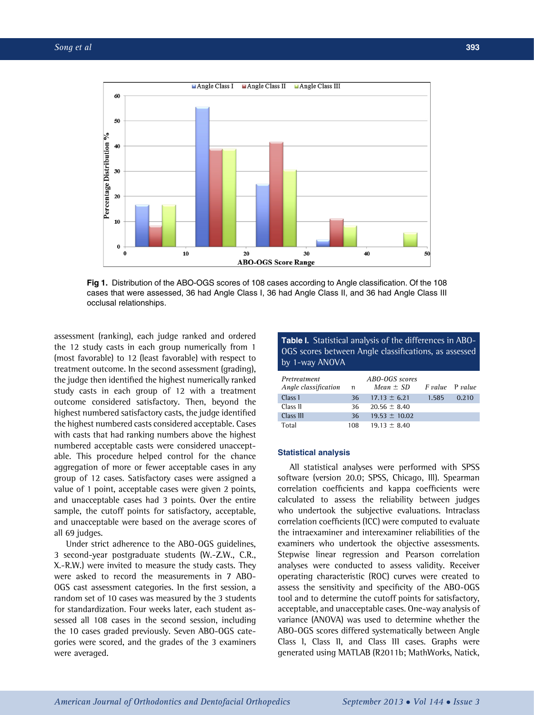<span id="page-2-0"></span>

Fig 1. Distribution of the ABO-OGS scores of 108 cases according to Angle classification. Of the 108 cases that were assessed, 36 had Angle Class I, 36 had Angle Class II, and 36 had Angle Class III occlusal relationships.

assessment (ranking), each judge ranked and ordered the 12 study casts in each group numerically from 1 (most favorable) to 12 (least favorable) with respect to treatment outcome. In the second assessment (grading), the judge then identified the highest numerically ranked study casts in each group of 12 with a treatment outcome considered satisfactory. Then, beyond the highest numbered satisfactory casts, the judge identified the highest numbered casts considered acceptable. Cases with casts that had ranking numbers above the highest numbered acceptable casts were considered unacceptable. This procedure helped control for the chance aggregation of more or fewer acceptable cases in any group of 12 cases. Satisfactory cases were assigned a value of 1 point, acceptable cases were given 2 points, and unacceptable cases had 3 points. Over the entire sample, the cutoff points for satisfactory, acceptable, and unacceptable were based on the average scores of all 69 judges.

Under strict adherence to the ABO-OGS guidelines, 3 second-year postgraduate students (W.-Z.W., C.R., X.-R.W.) were invited to measure the study casts. They were asked to record the measurements in 7 ABO-OGS cast assessment categories. In the first session, a random set of 10 cases was measured by the 3 students for standardization. Four weeks later, each student assessed all 108 cases in the second session, including the 10 cases graded previously. Seven ABO-OGS categories were scored, and the grades of the 3 examiners were averaged.

Table I. Statistical analysis of the differences in ABO-OGS scores between Angle classifications, as assessed by 1-way ANOVA

| Pretreatment<br>Angle classification | n   | ABO-OGS scores<br>$Mean \pm SD$ | F value P value |       |
|--------------------------------------|-----|---------------------------------|-----------------|-------|
| Class 1                              | 36. | $17.13 \pm 6.21$                | 1.585           | 0.210 |
| Class II                             | 36  | $20.56 + 8.40$                  |                 |       |
| Class III                            | 36  | $19.53 \pm 10.02$               |                 |       |
| Total                                | 108 | $19.13 \pm 8.40$                |                 |       |

## Statistical analysis

All statistical analyses were performed with SPSS software (version 20.0; SPSS, Chicago, Ill). Spearman correlation coefficients and kappa coefficients were calculated to assess the reliability between judges who undertook the subjective evaluations. Intraclass correlation coefficients (ICC) were computed to evaluate the intraexaminer and interexaminer reliabilities of the examiners who undertook the objective assessments. Stepwise linear regression and Pearson correlation analyses were conducted to assess validity. Receiver operating characteristic (ROC) curves were created to assess the sensitivity and specificity of the ABO-OGS tool and to determine the cutoff points for satisfactory, acceptable, and unacceptable cases. One-way analysis of variance (ANOVA) was used to determine whether the ABO-OGS scores differed systematically between Angle Class I, Class II, and Class III cases. Graphs were generated using MATLAB (R2011b; MathWorks, Natick,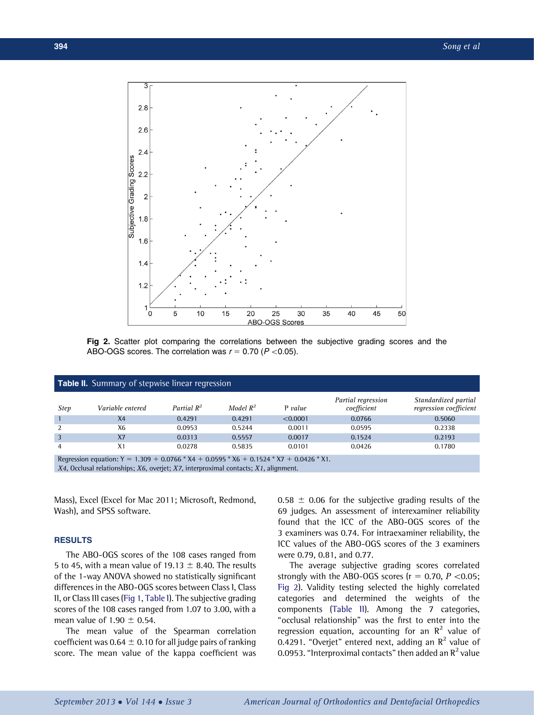

Fig 2. Scatter plot comparing the correlations between the subjective grading scores and the ABO-OGS scores. The correlation was  $r = 0.70$  ( $P < 0.05$ ).

| <b>Table II.</b> Summary of stepwise linear regression                                          |                  |               |             |          |                                   |                                                |  |  |
|-------------------------------------------------------------------------------------------------|------------------|---------------|-------------|----------|-----------------------------------|------------------------------------------------|--|--|
| <b>Step</b>                                                                                     | Variable entered | Partial $R^2$ | Model $R^2$ | P value  | Partial regression<br>coefficient | Standardized partial<br>regression coefficient |  |  |
|                                                                                                 | X <sub>4</sub>   | 0.4291        | 0.4291      | < 0.0001 | 0.0766                            | 0.5060                                         |  |  |
|                                                                                                 | X6               | 0.0953        | 0.5244      | 0.0011   | 0.0595                            | 0.2338                                         |  |  |
| 3                                                                                               | X7               | 0.0313        | 0.5557      | 0.0017   | 0.1524                            | 0.2193                                         |  |  |
| 4                                                                                               | X <sub>1</sub>   | 0.0278        | 0.5835      | 0.0101   | 0.0426                            | 0.1780                                         |  |  |
| Regression equation: $Y = 1.309 + 0.0766 * X4 + 0.0595 * X6 + 0.1524 * X7 + 0.0426 * X1$ .      |                  |               |             |          |                                   |                                                |  |  |
| $X4$ , Occlusal relationships; $X6$ , overjet; $X7$ , interproximal contacts; $XI$ , alignment. |                  |               |             |          |                                   |                                                |  |  |

Mass), Excel (Excel for Mac 2011; Microsoft, Redmond, Wash), and SPSS software.

## RESULTS

The ABO-OGS scores of the 108 cases ranged from 5 to 45, with a mean value of 19.13  $\pm$  8.40. The results of the 1-way ANOVA showed no statistically significant differences in the ABO-OGS scores between Class I, Class II, or Class III cases [\(Fig 1,](#page-2-0) [Table I](#page-2-0)). The subjective grading scores of the 108 cases ranged from 1.07 to 3.00, with a mean value of  $1.90 \pm 0.54$ .

The mean value of the Spearman correlation coefficient was 0.64  $\pm$  0.10 for all judge pairs of ranking score. The mean value of the kappa coefficient was  $0.58 \pm 0.06$  for the subjective grading results of the 69 judges. An assessment of interexaminer reliability found that the ICC of the ABO-OGS scores of the 3 examiners was 0.74. For intraexaminer reliability, the ICC values of the ABO-OGS scores of the 3 examiners were 0.79, 0.81, and 0.77.

The average subjective grading scores correlated strongly with the ABO-OGS scores ( $r = 0.70$ ,  $P \le 0.05$ ; Fig 2). Validity testing selected the highly correlated categories and determined the weights of the components (Table II). Among the 7 categories, "occlusal relationship" was the first to enter into the regression equation, accounting for an  $\mathbb{R}^2$  value of 0.4291. "Overjet" entered next, adding an  $R^2$  value of 0.0953. "Interproximal contacts" then added an  $\mathbb{R}^2$  value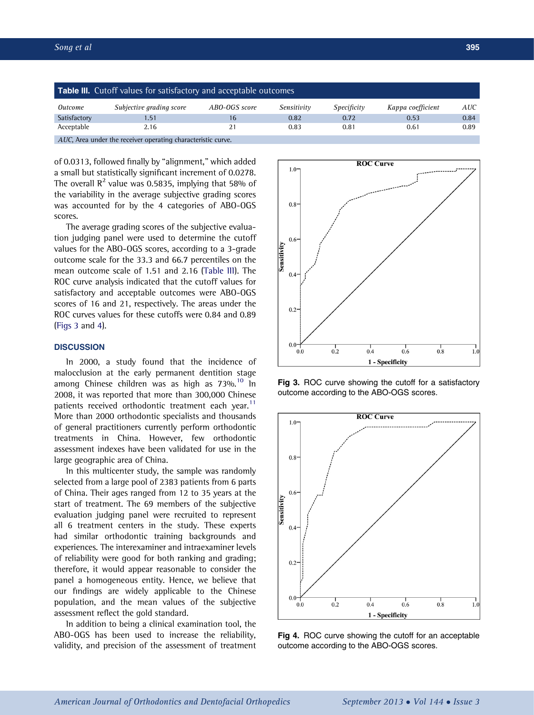| <b>Table III.</b> Cutoff values for satisfactory and acceptable outcomes |                                                              |               |             |             |                   |      |  |  |  |
|--------------------------------------------------------------------------|--------------------------------------------------------------|---------------|-------------|-------------|-------------------|------|--|--|--|
| <i>Outcome</i>                                                           | Subjective grading score                                     | ABO-OGS score | Sensitivity | Specificity | Kappa coefficient | AUC  |  |  |  |
| Satisfactory                                                             | 1.51                                                         | 16            | 0.82        | 0.72        | 0.53              | 0.84 |  |  |  |
| Acceptable                                                               | 2.16                                                         |               | 0.83        | 0.81        | 0.61              | 0.89 |  |  |  |
|                                                                          | AUC, Area under the receiver operating characteristic curve. |               |             |             |                   |      |  |  |  |

of 0.0313, followed finally by "alignment," which added a small but statistically significant increment of 0.0278. The overall  $\mathbb{R}^2$  value was 0.5835, implying that 58% of the variability in the average subjective grading scores was accounted for by the 4 categories of ABO-OGS scores.

The average grading scores of the subjective evaluation judging panel were used to determine the cutoff values for the ABO-OGS scores, according to a 3-grade outcome scale for the 33.3 and 66.7 percentiles on the mean outcome scale of 1.51 and 2.16 (Table III). The ROC curve analysis indicated that the cutoff values for satisfactory and acceptable outcomes were ABO-OGS scores of 16 and 21, respectively. The areas under the ROC curves values for these cutoffs were 0.84 and 0.89 (Figs 3 and 4).

### **DISCUSSION**

In 2000, a study found that the incidence of malocclusion at the early permanent dentition stage among Chinese children was as high as  $73\%$ .<sup>[10](#page-6-0)</sup> In 2008, it was reported that more than 300,000 Chinese patients received orthodontic treatment each year. $11$ More than 2000 orthodontic specialists and thousands of general practitioners currently perform orthodontic treatments in China. However, few orthodontic assessment indexes have been validated for use in the large geographic area of China.

In this multicenter study, the sample was randomly selected from a large pool of 2383 patients from 6 parts of China. Their ages ranged from 12 to 35 years at the start of treatment. The 69 members of the subjective evaluation judging panel were recruited to represent all 6 treatment centers in the study. These experts had similar orthodontic training backgrounds and experiences. The interexaminer and intraexaminer levels of reliability were good for both ranking and grading; therefore, it would appear reasonable to consider the panel a homogeneous entity. Hence, we believe that our findings are widely applicable to the Chinese population, and the mean values of the subjective assessment reflect the gold standard.

In addition to being a clinical examination tool, the ABO-OGS has been used to increase the reliability, validity, and precision of the assessment of treatment



Fig 3. ROC curve showing the cutoff for a satisfactory outcome according to the ABO-OGS scores.



Fig 4. ROC curve showing the cutoff for an acceptable outcome according to the ABO-OGS scores.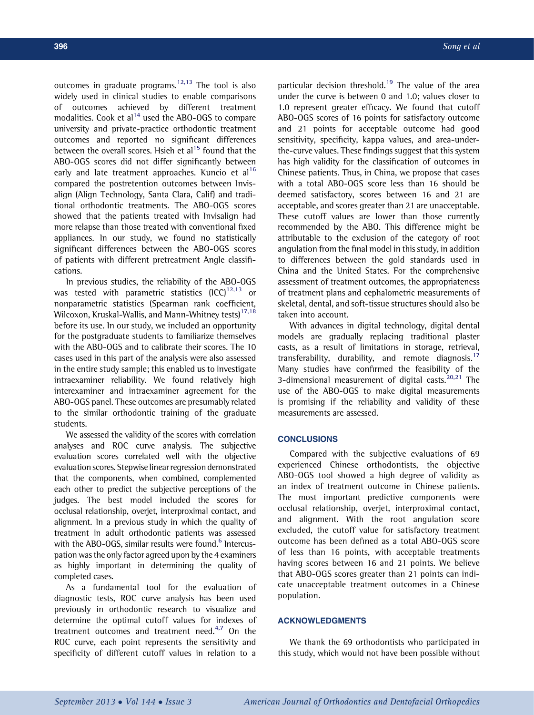outcomes in graduate programs.<sup>[12,13](#page-6-0)</sup> The tool is also widely used in clinical studies to enable comparisons of outcomes achieved by different treatment modalities. Cook et al<sup>14</sup> used the ABO-OGS to compare university and private-practice orthodontic treatment outcomes and reported no significant differences between the overall scores. Hsieh et al<sup>[15](#page-6-0)</sup> found that the ABO-OGS scores did not differ significantly between early and late treatment approaches. Kuncio et al<sup>[16](#page-6-0)</sup> compared the postretention outcomes between Invisalign (Align Technology, Santa Clara, Calif) and traditional orthodontic treatments. The ABO-OGS scores showed that the patients treated with Invisalign had more relapse than those treated with conventional fixed appliances. In our study, we found no statistically significant differences between the ABO-OGS scores of patients with different pretreatment Angle classifications.

In previous studies, the reliability of the ABO-OGS was tested with parametric statistics  $(ICC)^{12,13}$  $(ICC)^{12,13}$  $(ICC)^{12,13}$  or nonparametric statistics (Spearman rank coefficient, Wilcoxon, Kruskal-Wallis, and Mann-Whitney tests)<sup>[17,18](#page-6-0)</sup> before its use. In our study, we included an opportunity for the postgraduate students to familiarize themselves with the ABO-OGS and to calibrate their scores. The 10 cases used in this part of the analysis were also assessed in the entire study sample; this enabled us to investigate intraexaminer reliability. We found relatively high interexaminer and intraexaminer agreement for the ABO-OGS panel. These outcomes are presumably related to the similar orthodontic training of the graduate students.

We assessed the validity of the scores with correlation analyses and ROC curve analysis. The subjective evaluation scores correlated well with the objective evaluation scores. Stepwise linear regression demonstrated that the components, when combined, complemented each other to predict the subjective perceptions of the judges. The best model included the scores for occlusal relationship, overjet, interproximal contact, and alignment. In a previous study in which the quality of treatment in adult orthodontic patients was assessed with the ABO-OGS, similar results were found.<sup>6</sup> Intercuspation was the only factor agreed upon by the 4 examiners as highly important in determining the quality of completed cases.

As a fundamental tool for the evaluation of diagnostic tests, ROC curve analysis has been used previously in orthodontic research to visualize and determine the optimal cutoff values for indexes of treatment outcomes and treatment need. $4.7$  On the ROC curve, each point represents the sensitivity and specificity of different cutoff values in relation to a

particular decision threshold.<sup>[19](#page-6-0)</sup> The value of the area under the curve is between 0 and 1.0; values closer to 1.0 represent greater efficacy. We found that cutoff ABO-OGS scores of 16 points for satisfactory outcome and 21 points for acceptable outcome had good sensitivity, specificity, kappa values, and area-underthe-curve values. These findings suggest that this system has high validity for the classification of outcomes in Chinese patients. Thus, in China, we propose that cases with a total ABO-OGS score less than 16 should be deemed satisfactory, scores between 16 and 21 are acceptable, and scores greater than 21 are unacceptable. These cutoff values are lower than those currently recommended by the ABO. This difference might be attributable to the exclusion of the category of root angulation from the final model in this study, in addition to differences between the gold standards used in China and the United States. For the comprehensive assessment of treatment outcomes, the appropriateness of treatment plans and cephalometric measurements of skeletal, dental, and soft-tissue structures should also be taken into account.

With advances in digital technology, digital dental models are gradually replacing traditional plaster casts, as a result of limitations in storage, retrieval, transferability, durability, and remote diagnosis.<sup>[17](#page-6-0)</sup> Many studies have confirmed the feasibility of the 3-dimensional measurement of digital casts.<sup>[20,21](#page-6-0)</sup> The use of the ABO-OGS to make digital measurements is promising if the reliability and validity of these measurements are assessed.

## **CONCLUSIONS**

Compared with the subjective evaluations of 69 experienced Chinese orthodontists, the objective ABO-OGS tool showed a high degree of validity as an index of treatment outcome in Chinese patients. The most important predictive components were occlusal relationship, overjet, interproximal contact, and alignment. With the root angulation score excluded, the cutoff value for satisfactory treatment outcome has been defined as a total ABO-OGS score of less than 16 points, with acceptable treatments having scores between 16 and 21 points. We believe that ABO-OGS scores greater than 21 points can indicate unacceptable treatment outcomes in a Chinese population.

## ACKNOWLEDGMENTS

We thank the 69 orthodontists who participated in this study, which would not have been possible without